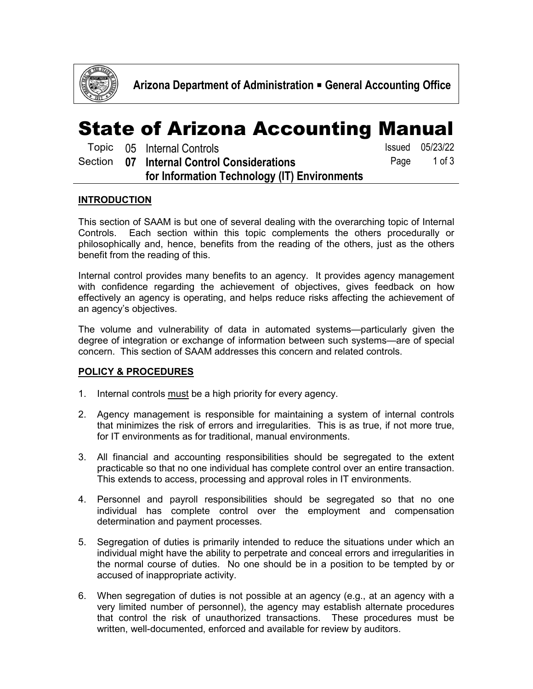

### State of Arizona Accounting Manual

|  | Topic 05 Internal Controls                   | <b>Issued</b> 05/23/22 |
|--|----------------------------------------------|------------------------|
|  | Section 07 Internal Control Considerations   | Page 1 of 3            |
|  | for Information Technology (IT) Environments |                        |

### **INTRODUCTION**

This section of SAAM is but one of several dealing with the overarching topic of Internal Controls. Each section within this topic complements the others procedurally or philosophically and, hence, benefits from the reading of the others, just as the others benefit from the reading of this.

Internal control provides many benefits to an agency. It provides agency management with confidence regarding the achievement of objectives, gives feedback on how effectively an agency is operating, and helps reduce risks affecting the achievement of an agency's objectives.

The volume and vulnerability of data in automated systems—particularly given the degree of integration or exchange of information between such systems—are of special concern. This section of SAAM addresses this concern and related controls.

#### **POLICY & PROCEDURES**

- 1. Internal controls must be a high priority for every agency.
- 2. Agency management is responsible for maintaining a system of internal controls that minimizes the risk of errors and irregularities. This is as true, if not more true, for IT environments as for traditional, manual environments.
- 3. All financial and accounting responsibilities should be segregated to the extent practicable so that no one individual has complete control over an entire transaction. This extends to access, processing and approval roles in IT environments.
- 4. Personnel and payroll responsibilities should be segregated so that no one individual has complete control over the employment and compensation determination and payment processes.
- 5. Segregation of duties is primarily intended to reduce the situations under which an individual might have the ability to perpetrate and conceal errors and irregularities in the normal course of duties. No one should be in a position to be tempted by or accused of inappropriate activity.
- 6. When segregation of duties is not possible at an agency (e.g., at an agency with a very limited number of personnel), the agency may establish alternate procedures that control the risk of unauthorized transactions. These procedures must be written, well-documented, enforced and available for review by auditors.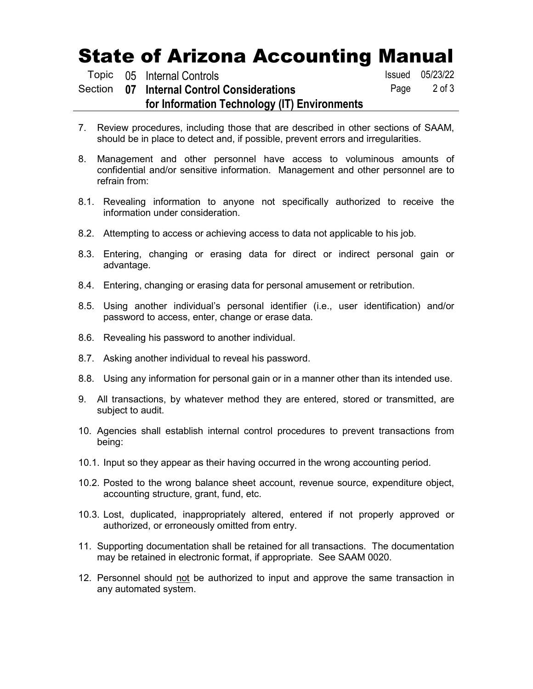# State of Arizona Accounting Manual

|  | Topic 05 Internal Controls                   | <b>Issued</b> 05/23/22 |
|--|----------------------------------------------|------------------------|
|  | Section 07 Internal Control Considerations   | Page 2 of 3            |
|  | for Information Technology (IT) Environments |                        |
|  |                                              |                        |

- 7. Review procedures, including those that are described in other sections of SAAM, should be in place to detect and, if possible, prevent errors and irregularities.
- 8. Management and other personnel have access to voluminous amounts of confidential and/or sensitive information. Management and other personnel are to refrain from:
- 8.1. Revealing information to anyone not specifically authorized to receive the information under consideration.
- 8.2. Attempting to access or achieving access to data not applicable to his job.
- 8.3. Entering, changing or erasing data for direct or indirect personal gain or advantage.
- 8.4. Entering, changing or erasing data for personal amusement or retribution.
- 8.5. Using another individual's personal identifier (i.e., user identification) and/or password to access, enter, change or erase data.
- 8.6. Revealing his password to another individual.
- 8.7. Asking another individual to reveal his password.
- 8.8. Using any information for personal gain or in a manner other than its intended use.
- 9. All transactions, by whatever method they are entered, stored or transmitted, are subject to audit.
- 10. Agencies shall establish internal control procedures to prevent transactions from being:
- 10.1. Input so they appear as their having occurred in the wrong accounting period.
- 10.2. Posted to the wrong balance sheet account, revenue source, expenditure object, accounting structure, grant, fund, etc.
- 10.3. Lost, duplicated, inappropriately altered, entered if not properly approved or authorized, or erroneously omitted from entry.
- 11. Supporting documentation shall be retained for all transactions. The documentation may be retained in electronic format, if appropriate. See SAAM 0020.
- 12. Personnel should not be authorized to input and approve the same transaction in any automated system.